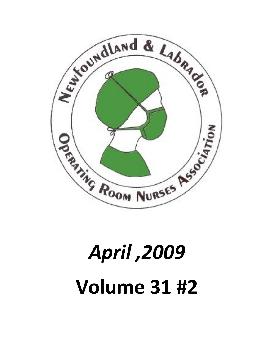

## *April ,2009* **Volume 31 #2**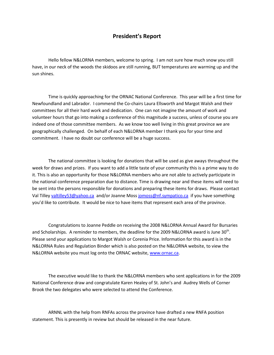Hello fellow N&LORNA members, welcome to spring. I am not sure have, in our neck of the woods the skidoos are still running, BUT tem sun shines.

Time is quickly approaching for the ORNAC National Conference Newfound labelband or. I commeted the Comme Ellsworth and Margot Walsh committees for all their hard @pekcammdnotedincation. the amount of wor volunteer hours that go into making a conference of this magnitude a indeed one of those committee members. As we know too well living geographic allenged. On behalf of each N&LORNA member I thank you commitment. I have no doubt our conference will be a huge success.

The national ciosing on-witting efor dothmeation in this be used at  $\mathbf{s}_1$  in give change with  $\mathbf{s}_2$  is the use of  $\mathbf{s}_1$ week forsdaraw prizes. If you want to add a little tastwact of yobour comm it. This is also an opportunity for those N&LORNA members who are the national conference preparationd rotawe into net at an and the inserts will be sent into the persons responsible for donations and preparing the Val Timlade by illey 53 @yaholo.ca box by angentless @nf.sympitatyior or . brave something you d like to contribute. It would be nice to have items that represe

Congratulations Peoddlobera mete eiving the 2008 N&LOORNBAunAs name iosad Awa and Scholarships. A reminder to members, the deadline. for the 2009 Please send your application Gotroen Mar Poitc Walsh or mation for this award Price. In the Subsection of  $\mathbb{R}$  in the serve in the serve in the serve in the serve in the serve in the serve in the serve in the serve in N&LORNA RuRles and and Binder which is also posted on the N&LORNA we N&LORNA website you must log onwtwowt.hoernCaReNcAaC website,

The executive would like to thank the N&LORNA members who sent National Conference draw and congGrat**ulbahtne sKaamedh HAeGaldroeny** edWiells of Brook the two delegates who were Csoenlet the attend th

ARNNL with the help from RNFAs across the province have draft statement. This is presently in revii**ewh beat funded** be released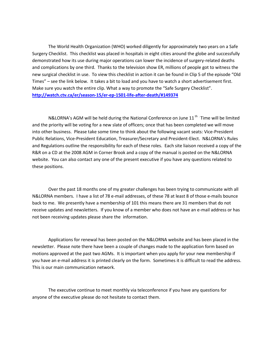The World Health Organization (WHO) worke**d di**elaag**s** nothy afoSraaloop pi Surgery Checklist. This checklist was placed in hospitals in eight c demonstrated how its use during major operations eclaantelool wollen the surgery incidence of  $\alpha$ and complications by heanek shiod the television show ER, millions of pe new surgical checklist in use. To view this checklist in action it can Timessee the link below. It takes a biattoohloasshountd aydowerhavent to move fir Make sure you watch the entire clip. What a way to promote the Saf http://watch.ctv.ca $\sqrt{6}t$  exaction  $\frac{2}{37}$  -1501 -1501 -1501 -1501 -1501 -1501 -1501 -1501 -1501 -1501 -1501 -1501 -1501 -1501 -1501 -1501 -1501 -1501 -1501 -1501 -1501 -1501 -1501 -1501 -1501 -1501 -1501 -1501 -1501

 $N$ &LORMAGMs will be held during the Nation  ${}^{\text{t}}$ alTi $\Omega$ moenfweirlelnb $\infty$ e loinmitteanonte and the priority will be svas the figure of the conservation at has been completed we wi into other business. Please take some time to think **Padooidtenthe follov** Public RelatiPomes, id Veine Education, Treasurer/SE decuta Ny& a DoRNP Aesi Reunde an Regulations outline the responsibility for each of these roles. Ea R&R on a CD at the C 000& r ABG Moknand a copy of the manual is posted website. You can also dontace seemy  $\mathbf e$  and contive if you have any questions relations relations relations relations relations relations relations relations relations relations relations relations relations relations r these positions.

Over the past 18 months one of my greater challenges has been N&LORNA members. I hana bei aaddrentot the 78 et lecasset meta id fs thhounce back to me. We presently have a membership of 101 this means the receive updates and newsletters. If you know of mail mach do rears a whor diaes not been receiving updati**es** information.e t

Applications for renewal has been posted on the N&LORNA webs newsletter. Please note there have been a couple of changes made motions approved at the past oth Man AGM en you samply for your new mem you have manil eaddress it is printed clearly on the form. Sometimes it This is our main communication network.

The executive continue to meetem onethily ovuia have any fequestions f anyone of the executive please do not hesitate to contact them.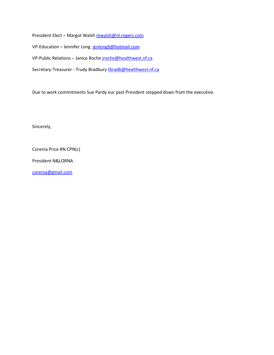President Ellaerogtot Whandshsh @nl.rogers.com VPE ducatid annifer id rolong g 9 @hotmail.com VPPublic Relation incse Rnocochhee @healthwest.nf.ca SecretTarrey a suller udy Bratoob and you healthownest.nf

Due to work commitments Sue Pardy our past President stepped dow

Sincerely,

Corenia Price RN CPN(c)

President N&LORNA

[corenia@gm](mailto:corenia@gmail.com)ail.com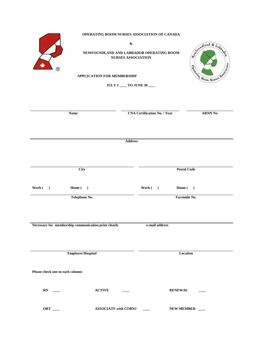| OPERATING ROOM NURSES ASSOCIATION OF CANADA<br>&<br>Schoundland & Labour<br>NEWFOUNDLAND AND LABRADOR OPERATING ROOM<br><b>NURSES ASSOCIATION</b><br>Association<br><b>SPRING ROOM NURSES</b><br><b>APPLICATION FOR MEMBERSHIP</b><br><b>JULY 1 ____ TO JUNE 30 ____</b> |                             |                                     |                |  |
|--------------------------------------------------------------------------------------------------------------------------------------------------------------------------------------------------------------------------------------------------------------------------|-----------------------------|-------------------------------------|----------------|--|
| <b>Name</b>                                                                                                                                                                                                                                                              |                             | <b>CNA Certification No. / Year</b> | <b>ARNN No</b> |  |
|                                                                                                                                                                                                                                                                          |                             |                                     |                |  |
|                                                                                                                                                                                                                                                                          | <b>Address</b>              |                                     |                |  |
|                                                                                                                                                                                                                                                                          |                             |                                     |                |  |
| City                                                                                                                                                                                                                                                                     |                             | <b>Postal Code</b>                  |                |  |
| Work ( )<br>Home $(\quad)$                                                                                                                                                                                                                                               |                             | Work( )                             | Home $(\quad)$ |  |
| Telephone No.                                                                                                                                                                                                                                                            |                             |                                     | Facsimile No.  |  |
|                                                                                                                                                                                                                                                                          |                             |                                     |                |  |
| Necessary for membership communication print clearly                                                                                                                                                                                                                     |                             | e-mail address                      |                |  |
|                                                                                                                                                                                                                                                                          |                             |                                     |                |  |
| Employer/Hospital                                                                                                                                                                                                                                                        |                             |                                     | Location       |  |
| Please check one in each column:                                                                                                                                                                                                                                         |                             |                                     |                |  |
|                                                                                                                                                                                                                                                                          | <b>ACTIVE</b>               |                                     | <b>RENEWAL</b> |  |
| ORT __                                                                                                                                                                                                                                                                   | <b>ASSOCIATE with CORNJ</b> | $\sim 100$                          | NEW MEMBER     |  |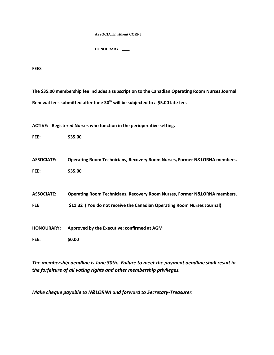**ASSOCIATE without CORNJ \_\_\_\_**

**HONOURARY \_\_\_\_**

**FEES**

**The \$35.00 membership fee includes a subscription to the Canadian Operating Room Nurses Journal Renewal fees submitted after June 30th will be subjected to a \$5.00 late fee.**

**ACTIVE: Registered Nurses who function in the perioperative setting.**

**FEE: \$35.00**

**ASSOCIATE: Operating Room Technicians, Recovery Room Nurses, Former N&LORNA members. FEE: \$35.00**

**ASSOCIATE: Operating Room Technicians, Recovery Room Nurses, Former N&LORNA members.**

**FEE \$11.32 ( You do not receive the Canadian Operating Room Nurses Journal)**

**HONOURARY: Approved by the Executive; confirmed at AGM**

**FEE: \$0.00**

*The membership deadline is June 30th. Failure to meet the payment deadline shall result in the forfeiture of all voting rights and other membership privileges.*

*Make cheque payable to N&LORNA and forward to Secretary-Treasurer.*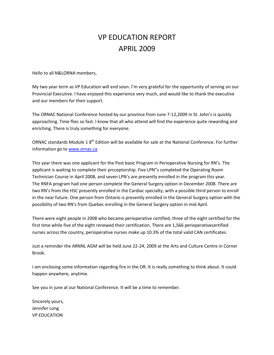## VP EDUCATION REPORT APRIL 2009

Hello to all N&LORNA members,

My two year term as VP Educmation ent will addeful soon. The opportunity of serving on the only the serving on  $s$ Provincial Executive. I have enjoyed this experience very much, and and our members for their support.

The ORNAC National Conference hosted 122y 2 @ 09 Straind or hmc e from Tuikly 2 7 approaching. Time flies so fast. I know that all who attend will find enriching. There is truly something for everyone.

 $ORNAC$  standards  $M\boxtimes N$  and  $M$  is a that is the rasy alie at the National Conference. For  $M$ information www.tornac.ca

This year there was one applicant for the Post basic Program in Per applicant is waiting to compriple the  $\overline{F}$  in  $\overline{F}$  in  $\overline{\phi}$  ric  $\overline{F}$  is a completed the Operating Room Technician Course in April 2008, and seven LPN s are presently enro The RNFA program had one person complete the General Surgery opt two RN is fit the HSC presently enrolled in the Cardiac specialty, with a in the near future. One person from Ontario is presently enrolled in possibility of two RN s from Queebread Surgeling gopntion heinGermid April.

There were eight people in 2008 who became perioperative certified, first time while five of the eight renewed their certification. There a nurses athes sountry, perioperative nurses make up 10.3% of the total

Just a reminder the ARNNL AG-2014 w 20009 antethel Annes 222nd Culture Cent Brook.

I am enclosing some information reigarredaihloy fsioen einhting OCR thlitnk about happen anywhere, anytime.

See you in june at our National Conference. It will be a time to reme

Sincerely yours, Jennifer Long VP EDUCATION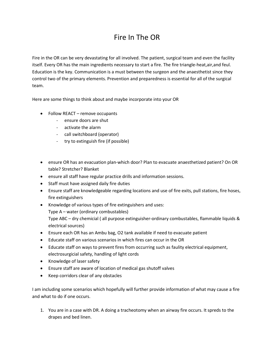## Fire In The OR

Fire in the OR can be very devastating for all involved. The patient, surgical team and even the facility itself. Every OR has the main ingredients necessary to start a fire. The fire triangle-heat,air,and feul. Education is the key. Communication is a must between the surgeon and the anaesthetist since they control two of the primary elements. Prevention and preparedness is essential for all of the surgical team.

Here are some things to think about and maybe incorporate into your OR

- Follow REACT remove occupants
	- ensure doors are shut
	- activate the alarm
	- call switchboard (operator)
	- try to extinguish fire (if possible)
- ensure OR has an evacuation plan-which door? Plan to evacuate anaesthetized patient? On OR table? Stretcher? Blanket
- ensure all staff have regular practice drills and information sessions.
- Staff must have assigned daily fire duties
- Ensure staff are knowledgeable regarding locations and use of fire exits, pull stations, fire hoses, fire extinguishers
- Knowledge of various types of fire extinguishers and uses: Type A – water (ordinary combustables) Type ABC – dry chemicial ( all purpose extinguisher-ordinary combustables, flammable liquids & electrical sources)
- Ensure each OR has an Ambu bag, O2 tank available if need to evacuate patient
- Educate staff on various scenarios in which fires can occur in the OR
- Educate staff on ways to prevent fires from occurring such as faulity electrical equipment, electrosurgicial safety, handling of light cords
- Knowledge of laser safety
- Ensure staff are aware of location of medical gas shutoff valves
- Keep corridors clear of any obstacles

I am including some scenarios which hopefully will further provide information of what may cause a fire and what to do if one occurs.

1. You are in a case with DR. A doing a tracheotomy when an airway fire occurs. It spreds to the drapes and bed linen.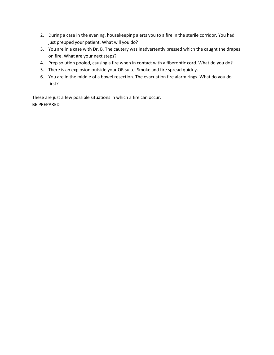- 2. During a case in the evening, housekeeping alerts you to a fire in the sterile corridor. You had just prepped your patient. What will you do?
- 3. You are in a case with Dr. B. The cautery was inadvertently pressed which the caught the drapes on fire. What are your next steps?
- 4. Prep solution pooled, causing a fire when in contact with a fiberoptic cord. What do you do?
- 5. There is an explosion outside your OR suite. Smoke and fire spread quickly.
- 6. You are in the middle of a bowel resection. The evacuation fire alarm rings. What do you do first?

These are just a few possible situations in which a fire can occur. BE PREPARED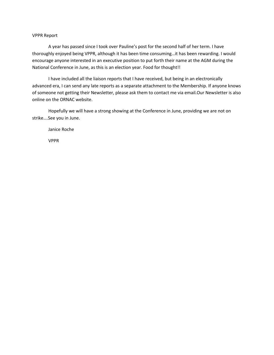## VPPR Report

A year has passed since I took over Pauline's post for the second half of her term. I have thoroughly enjoyed being VPPR, although it has been time consuming…it has been rewarding. I would encourage anyone interested in an executive position to put forth their name at the AGM during the National Conference in June, as this is an election year. Food for thought!!

I have included all the liaison reports that I have received, but being in an electronically advanced era, I can send any late reports as a separate attachment to the Membership. If anyone knows of someone not getting their Newsletter, please ask them to contact me via email.Our Newsletter is also online on the ORNAC website.

Hopefully we will have a strong showing at the Conference in June, providing we are not on strike….See you in June.

Janice Roche

VPPR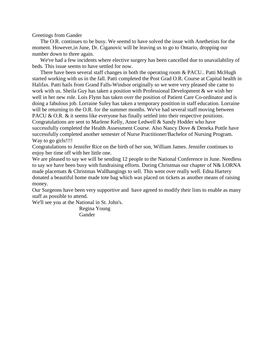Greetings from Gander

 The O.R. continues to be busy. We seemd to have solved the issue with Anethetists for the moment. However,in June, Dr. Ciganovic will be leaving us to go to Ontario, dropping our number down to three again.

 We've had a few incidents where elective surgery has been cancelled due to unavailability of beds. This issue seems to have settled for now.

 There have been several staff changes in both the operating room & PACU.. Patti McHugh started working with us in the fall. Patti completed the Post Grad O.R. Course at Capital health in Halifax. Patti hails from Grand Falls-Windsor originally so we were very pleased she came to work with us. Sheila Guy has taken a position with Professional Development & we wish her well in her new role. Lois Flynn has taken over the position of Patient Care Co-ordinator and is doing a fabulous job. Lorraine Suley has taken a temporary postition in staff education. Lorraine will be returning to the O.R. for the summer months. We've had several staff moving between PACU & O.R. & it seems like everyone has finally settled into their respective positions. Congratulations are sent to Marlene Kelly, Anne Ledwell & Sandy Hodder who have successfully completed the Health Assessment Course. Also Nancy Dove & Deneka Pottle have successfully completed another semester of Nurse Practitioner/Bachelor of Nursing Program. Way to go girls!!!!

Congratulations to Jennifer Rice on the birth of her son, William James. Jennifer continues to enjoy her time off with her little one.

We are pleased to say we will be sending 12 people to the National Conference in June. Needless to say we have been busy with fundraising efforts. During Christmas our chapter of N& LORNA made placemats & Christmas Wallhangings to sell. This went over really well. Edna Hartery donated a beautiful home made tote bag which was placed on tickets as another means of raising money.

Our Surgeons have been very supportive and have agreed to modify their lists to enable as many staff as possible to attend.

We'll see you at the National in St. John's.

 Regina Young Gander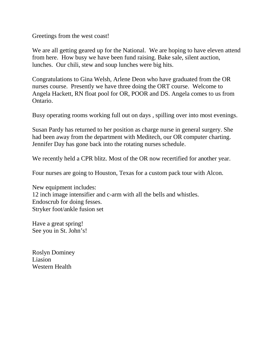Greetings from the west coast!

We are all getting geared up for the National. We are hoping to have eleven attend from here. How busy we have been fund raising. Bake sale, silent auction, lunches. Our chili, stew and soup lunches were big hits.

Congratulations to Gina Welsh, Arlene Deon who have graduated from the OR nurses course. Presently we have three doing the ORT course. Welcome to Angela Hackett, RN float pool for OR, POOR and DS. Angela comes to us from Ontario.

Busy operating rooms working full out on days , spilling over into most evenings.

Susan Pardy has returned to her position as charge nurse in general surgery. She had been away from the department with Meditech, our OR computer charting. Jennifer Day has gone back into the rotating nurses schedule.

We recently held a CPR blitz. Most of the OR now recertified for another year.

Four nurses are going to Houston, Texas for a custom pack tour with Alcon.

New equipment includes: 12 inch image intensifier and c-arm with all the bells and whistles. Endoscrub for doing fesses. Stryker foot/ankle fusion set

Have a great spring! See you in St. John's!

Roslyn Dominey Liasion Western Health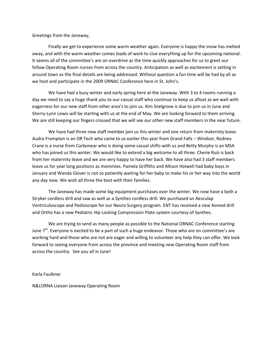Greetings from the Janeway,

Finally we get to experience some warm weather again. Everyone is happy the snow has melted away, and with the warm weather comes loads of work to clue everything up for the upcoming national. It seems all of the committee's are on overdrive as the time quickly approaches for us to greet our fellow Operating Room nurses from across the country. Anticipation as well as excitement is setting in around town as the final details are being addressed. Without question a fun time will be had by all as we host and participate in the 2009 ORNAC Conference here in St. John's.

We have had a busy winter and early spring here at the Janeway. With 3 to 4 rooms running a day we need to say a huge thank you to our casual staff who continue to keep us afloat as we wait with eagerness for our new staff from other area's to join us. Kim Snelgrove is due to join us in June and Sherry-Lynn Lewis will be starting with us at the end of May. We are looking forward to them arriving. We are still keeping our fingers crossed that we will see our other new staff members in the near future.

We have had three new staff member join us this winter and one return from maternity leave. Audra Frampton is an OR Tech who came to us earlier this year from Grand Falls – Windsor, Rodney Crane is a nurse from Carbonear who is doing some casual shifts with us and Betty Murphy is an MSA who has joined us this winter. We would like to extend a big welcome to all three. Cherie Ruiz is back from her maternity leave and we are very happy to have her back. We have also had 3 staff members leave us for year long positions as mommies. Pamela Griffiths and Allison Holwell had baby boys in January and Wanda Glover is not so patiently waiting for her baby to make his or her way into the world any day now. We wish all three the best with their families.

The Janeway has made some big equipment purchases over the winter. We now have a both a Stryker cordless drill and saw as well as a Synthes cordless drill. We purchased an Aesculap Ventriculoscope and Pedioscope for our Neuro Surgery program. ENT has received a new Xomed drill and Ortho has a new Pediatric Hip Locking Compression Plate system courtesy of Synthes.

We are trying to send as many people as possible to the National ORNAC Conference starting June 7<sup>th</sup>. Everyone is excited to be a part of such a huge endeavor. Those who are on committee's are working hard and those who are not are eager and willing to volunteer any help they can offer. We look forward to seeing everyone from across the province and meeting new Operating Room staff from across the country. See you all in June!

Karla Faulkner

N&LORNA Liaison Janeway Operating Room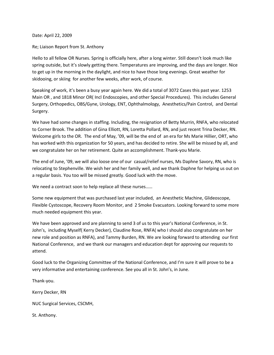Date: April 22, 2009

Re; Liaison Report from St. Anthony

Hello to all fellow OR Nurses. Spring is officially here, after a long winter. Still doesn't look much like spring outside, but it's slowly getting there. Temperatures are improving, and the days are longer. Nice to get up in the morning in the daylight, and nice to have those long evenings. Great weather for skidooing, or skiing for another few weeks, after work, of course.

Speaking of work, it's been a busy year again here. We did a total of 3072 Cases this past year. 1253 Main OR , and 1818 Minor OR( Incl Endoscopies, and other Special Procedures). This includes General Surgery, Orthopedics, OBS/Gyne, Urology, ENT, Ophthalmology, Anesthetics/Pain Control, and Dental Surgery.

We have had some changes in staffing. Including, the resignation of Betty Murrin, RNFA, who relocated to Corner Brook. The addition of Gina Elliott, RN, Loretta Pollard, RN, and just recent Trina Decker, RN. Welcome girls to the OR. The end of May, '09, will be the end of an era for Ms Marie Hillier, ORT, who has worked with this organization for 50 years, and has decided to retire. She will be missed by all, and we congratulate her on her retirement. Quite an accomplishment. Thank-you Marie.

The end of June, '09, we will also loose one of our casual/relief nurses, Ms Daphne Savory, RN, who is relocating to Stephenville. We wish her and her family well, and we thank Daphne for helping us out on a regular basis. You too will be missed greatly. Good luck with the move.

We need a contract soon to help replace all these nurses......

Some new equipment that was purchased last year included, an Anesthetic Machine, Glideoscope, Flexible Cystoscope, Recovery Room Monitor, and 2 Smoke Evacuators. Looking forward to some more much needed equipment this year.

We have been approved and are planning to send 3 of us to this year's National Conference, in St. John's, including Myself( Kerry Decker), Claudine Rose, RNFA( who I should also congratulate on her new role and position as RNFA), and Tammy Burden, RN. We are looking forward to attending our first National Conference, and we thank our managers and education dept for approving our requests to attend.

Good luck to the Organizing Committee of the National Conference, and I'm sure it will prove to be a very informative and entertaining conference. See you all in St. John's, in June.

Thank-you.

Kerry Decker, RN

NUC Surgical Services, CSCMH,

St. Anthony.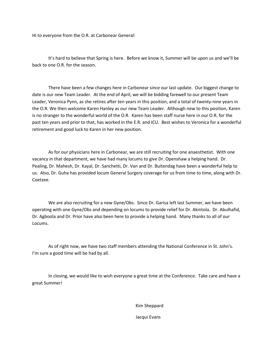Hi to everyone from the O.R. at Carbonear General:

It's hard to believe that Spring is here. Before we know it, Summer will be upon us and we'll be back to one O.R. for the season.

There have been a few changes here in Carbonear since our last update. Our biggest change to date is our new Team Leader. At the end of April, we will be bidding farewell to our present Team Leader, Veronica Pynn, as she retires after ten years in this position, and a total of twenty-nine years in the O.R. We then welcome Karen Hanley as our new Team Leader. Although new to this position, Karen is no stranger to the wonderful world of the O.R. Karen has been staff nurse here in our O.R. for the past ten years and prior to that, has worked in the E.R. and ICU. Best wishes to Veronica for a wonderful retirement and good luck to Karen in her new position.

As for our physicians here in Carbonear, we are still recruiting for one anaesthetist. With one vacancy in that department, we have had many locums to give Dr. Openshaw a helping hand. Dr. Pealing, Dr. Mahesh, Dr. Kayal, Dr. Sanchetti, Dr. Van and Dr. Buitendag have been a wonderful help to us. Also, Dr. Guha has provided locum General Surgery coverage for us from time to time, along with Dr. Coetzee.

We are also recruiting for a new Gyne/Obs. Since Dr. Garisa left last Summer, we have been operating with one Gyne/Obs and depending on locums to provide relief for Dr. Akintola. Dr. Abulhafid, Dr. Agboola and Dr. Prior have also been here to provide a helping hand. Many thanks to all of our Locums.

As of right now, we have two staff members attending the National Conference in St. John's. I'm sure a good time will be had by all.

In closing, we would like to wish everyone a great time at the Conference. Take care and have a great Summer!

Kim Sheppard

Jacqui Evans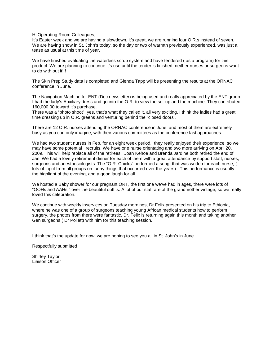Hi Operating Room Colleagues,

It's Easter week and we are having a slowdown, it's great, we are running four O.R.s instead of seven. We are having snow in St. John's today, so the day or two of warmth previously experienced, was just a tease as usual at this time of year.

We have finished evaluating the waterless scrub system and have tendered (as a program) for this product. We are planning to continue it's use until the tender is finished, neither nurses or surgeons want to do with out it!!!

The Skin Prep Study data is completed and Glenda Tapp will be presenting the results at the ORNAC conference in June.

The Navigation Machine for ENT (Dec newsletter) is being used and really appreciated by the ENT group. I had the lady's Auxiliary dress and go into the O.R. to view the set-up and the machine. They contributed 160,000.00 toward it's purchase.

There was a "photo shoot", yes, that's what they called it, all very exciting. I think the ladies had a great time dressing up in O.R. greens and venturing behind the "closed doors".

There are 12 O.R. nurses attending the ORNAC conference in June, and most of them are extremely busy as you can only imagine, with their various committees as the conference fast approaches.

We had two student nurses in Feb. for an eight week period, they really enjoyed their experience, so we may have some potential recruits. We have one nurse orientating and two more arriving on April 20, 2009. This will help replace all of the retirees. Joan Kehoe and Brenda Jardine both retired the end of Jan. We had a lovely retirement dinner for each of them with a great attendance by support staff, nurses, surgeons and anesthesiologists. The "O.R. Chicks" performed a song that was written for each nurse, ( lots of input from all groups on funny things that occurred over the years). This performance is usually the highlight of the evening, and a good laugh for all.

We hosted a Baby shower for our pregnant ORT, the first one we've had in ages, there were lots of "OOHs and AAHs " over the beautiful outfits. A lot of our staff are of the grandmother vintage, so we really loved this celebration.

We continue with weekly inservices on Tuesday mornings, Dr Felix presented on his trip to Ethiopia, where he was one of a group of surgeons teaching young African medical students how to perform surgery, the photos from there were fantastic. Dr. Felix is returning again this month and taking another Gen surgeons ( Dr Pollett) with him for this teaching session.

I think that's the update for now, we are hoping to see you all in St. John's in June.

Respectfully submitted

Shirley Taylor Liaison Officer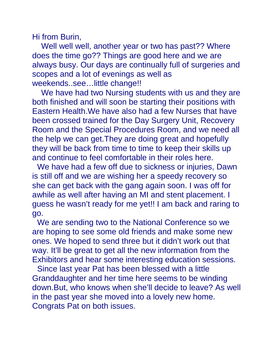Hi from Burin,

Well well well, another year or two has past?? Where does the time go?? Things are good here and we are always busy. Our days are continually full of surgeries and scopes and a lot of evenings as well as weekends..see…little change!!

 We have had two Nursing students with us and they are both finished and will soon be starting their positions with Eastern Health.We have also had a few Nurses that have been crossed trained for the Day Surgery Unit, Recovery Room and the Special Procedures Room, and we need all the help we can get.They are doing great and hopefully they will be back from time to time to keep their skills up and continue to feel comfortable in their roles here.

We have had a few off due to sickness or injuries, Dawn is still off and we are wishing her a speedy recovery so she can get back with the gang again soon. I was off for awhile as well after having an MI and stent placement. I guess he wasn't ready for me yet!! I am back and raring to go.

We are sending two to the National Conference so we are hoping to see some old friends and make some new ones. We hoped to send three but it didn't work out that way. It'll be great to get all the new information from the Exhibitors and hear some interesting education sessions.

Since last year Pat has been blessed with a little Granddaughter and her time here seems to be winding down.But, who knows when she'll decide to leave? As well in the past year she moved into a lovely new home. Congrats Pat on both issues.